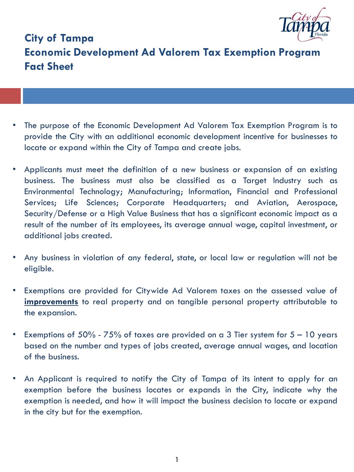

# **City of Tampa Economic Development Ad Valorem Tax Exemption Program Fact Sheet**

- The purpose of the Economic Development Ad Valorem Tax Exemption Program is to provide the City with an additional economic development incentive for businesses to locate or expand within the City of Tampa and create jobs.
- Applicants must meet the definition of a new business or expansion of an existing business. The business must also be classified as a Target Industry such as Environmental Technology; Manufacturing; Information, Financial and Professional Services; Life Sciences; Corporate Headquarters; and Aviation, Aerospace, Security/Defense or a High Value Business that has a significant economic impact as a result of the number of its employees, its average annual wage, capital investment, or additional jobs created.
- Any business in violation of any federal, state, or local law or regulation will not be eligible.
- Exemptions are provided for Citywide Ad Valorem taxes on the assessed value of **improvements** to real property and on tangible personal property attributable to the expansion.
- Exemptions of  $50\%$   $75\%$  of taxes are provided on a 3 Tier system for  $5 10$  years based on the number and types of jobs created, average annual wages, and location of the business.
- An Applicant is required to notify the City of Tampa of its intent to apply for an exemption before the business locates or expands in the City, indicate why the exemption is needed, and how it will impact the business decision to locate or expand in the city but for the exemption.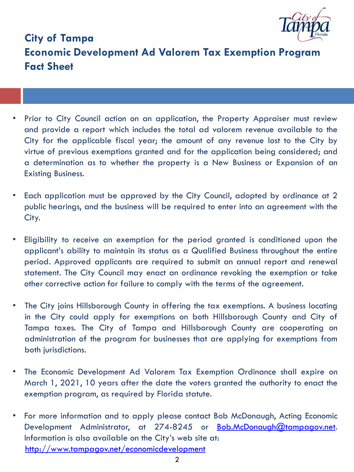

# **City of Tampa Economic Development Ad Valorem Tax Exemption Program Fact Sheet**

- Prior to City Council action on an application, the Property Appraiser must review and provide a report which includes the total ad valorem revenue available to the City for the applicable fiscal year; the amount of any revenue lost to the City by virtue of previous exemptions granted and for the application being considered; and a determination as to whether the property is a New Business or Expansion of an Existing Business.
- Each application must be approved by the City Council, adopted by ordinance at 2 public hearings, and the business will be required to enter into an agreement with the City.
- Eligibility to receive an exemption for the period granted is conditioned upon the applicant's ability to maintain its status as a Qualified Business throughout the entire period. Approved applicants are required to submit an annual report and renewal statement. The City Council may enact an ordinance revoking the exemption or take other corrective action for failure to comply with the terms of the agreement.
- The City joins Hillsborough County in offering the tax exemptions. A business locating in the City could apply for exemptions on both Hillsborough County and City of Tampa taxes. The City of Tampa and Hillsborough County are cooperating on administration of the program for businesses that are applying for exemptions from both jurisdictions.
- The Economic Development Ad Valorem Tax Exemption Ordinance shall expire on March 1, 2021, 10 years after the date the voters granted the authority to enact the exemption program, as required by Florida statute.
- For more information and to apply please contact Bob McDonaugh, Acting Economic Development Administrator, at 274-8245 or [Bob.McDonaugh@tampagov.net.](mailto:Mark.Huey@tampagov.net) Information is also available on the City's web site at: [http://www.tampagov.net/economicdevelopment](http://www.tampagov.net/dept_economic_and_urban_development)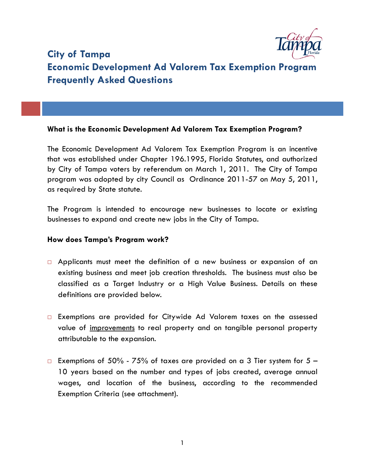

# **City of Tampa Economic Development Ad Valorem Tax Exemption Program Frequently Asked Questions**

## **What is the Economic Development Ad Valorem Tax Exemption Program?**

The Economic Development Ad Valorem Tax Exemption Program is an incentive that was established under Chapter 196.1995, Florida Statutes, and authorized by City of Tampa voters by referendum on March 1, 2011. The City of Tampa program was adopted by city Council as Ordinance 2011-57 on May 5, 2011, as required by State statute.

The Program is intended to encourage new businesses to locate or existing businesses to expand and create new jobs in the City of Tampa.

### **How does Tampa's Program work?**

- $\Box$  Applicants must meet the definition of a new business or expansion of an existing business and meet job creation thresholds. The business must also be classified as a Target Industry or a High Value Business. Details on these definitions are provided below.
- □ Exemptions are provided for Citywide Ad Valorem taxes on the assessed value of improvements to real property and on tangible personal property attributable to the expansion.
- Exemptions of 50% 75% of taxes are provided on a 3 Tier system for  $5 -$ 10 years based on the number and types of jobs created, average annual wages, and location of the business, according to the recommended Exemption Criteria (see attachment).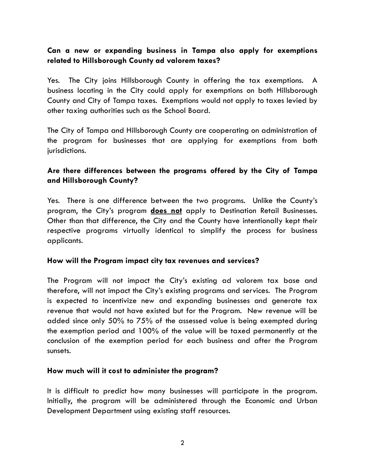# **Can a new or expanding business in Tampa also apply for exemptions related to Hillsborough County ad valorem taxes?**

Yes. The City joins Hillsborough County in offering the tax exemptions. A business locating in the City could apply for exemptions on both Hillsborough County and City of Tampa taxes. Exemptions would not apply to taxes levied by other taxing authorities such as the School Board.

The City of Tampa and Hillsborough County are cooperating on administration of the program for businesses that are applying for exemptions from both jurisdictions.

# **Are there differences between the programs offered by the City of Tampa and Hillsborough County?**

Yes. There is one difference between the two programs. Unlike the County's program, the City's program **does not** apply to Destination Retail Businesses. Other than that difference, the City and the County have intentionally kept their respective programs virtually identical to simplify the process for business applicants.

# **How will the Program impact city tax revenues and services?**

The Program will not impact the City's existing ad valorem tax base and therefore, will not impact the City's existing programs and services. The Program is expected to incentivize new and expanding businesses and generate tax revenue that would not have existed but for the Program. New revenue will be added since only 50% to 75% of the assessed value is being exempted during the exemption period and 100% of the value will be taxed permanently at the conclusion of the exemption period for each business and after the Program sunsets.

### **How much will it cost to administer the program?**

It is difficult to predict how many businesses will participate in the program. Initially, the program will be administered through the Economic and Urban Development Department using existing staff resources.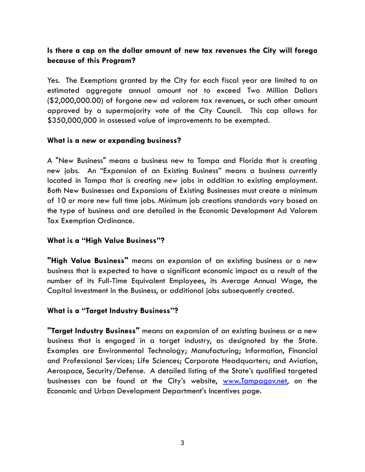# **Is there a cap on the dollar amount of new tax revenues the City will forego because of this Program?**

Yes. The Exemptions granted by the City for each fiscal year are limited to an estimated aggregate annual amount not to exceed Two Million Dollars (\$2,000,000.00) of forgone new ad valorem tax revenues, or such other amount approved by a supermajority vote of the City Council. This cap allows for \$350,000,000 in assessed value of improvements to be exempted.

## **What is a new or expanding business?**

A "New Business" means a business new to Tampa and Florida that is creating new jobs. An "Expansion of an Existing Business" means a business currently located in Tampa that is creating new jobs in addition to existing employment. Both New Businesses and Expansions of Existing Businesses must create a minimum of 10 or more new full time jobs. Minimum job creations standards vary based on the type of business and are detailed in the Economic Development Ad Valorem Tax Exemption Ordinance.

# **What is a "High Value Business"?**

**"High Value Business"** means an expansion of an existing business or a new business that is expected to have a significant economic impact as a result of the number of its Full-Time Equivalent Employees, its Average Annual Wage, the Capital Investment in the Business, or additional jobs subsequently created.

# **What is a "Target Industry Business"?**

**"Target Industry Business"** means an expansion of an existing business or a new business that is engaged in a target industry, as designated by the State. Examples are Environmental Technology; Manufacturing; Information, Financial and Professional Services; Life Sciences; Corporate Headquarters; and Aviation, Aerospace, Security/Defense. A detailed listing of the State's qualified targeted businesses can be found at the City's website, [www.Tampagov.net,](http://www.tampagov.net/) on the Economic and Urban Development Department's Incentives page.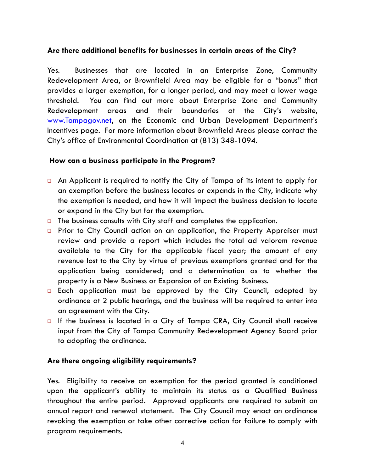# **Are there additional benefits for businesses in certain areas of the City?**

Yes. Businesses that are located in an Enterprise Zone, Community Redevelopment Area, or Brownfield Area may be eligible for a "bonus" that provides a larger exemption, for a longer period, and may meet a lower wage threshold. You can find out more about Enterprise Zone and Community Redevelopment areas and their boundaries at the City's website, [www.Tampagov.net](http://www.tampagov.net/), on the Economic and Urban Development Department's Incentives page. For more information about Brownfield Areas please contact the City's office of Environmental Coordination at (813) 348-1094.

### **How can a business participate in the Program?**

- An Applicant is required to notify the City of Tampa of its intent to apply for an exemption before the business locates or expands in the City, indicate why the exemption is needed, and how it will impact the business decision to locate or expand in the City but for the exemption.
- **The business consults with City staff and completes the application.**
- **Prior to City Council action on an application, the Property Appraiser must** review and provide a report which includes the total ad valorem revenue available to the City for the applicable fiscal year; the amount of any revenue lost to the City by virtue of previous exemptions granted and for the application being considered; and a determination as to whether the property is a New Business or Expansion of an Existing Business.
- **Each application must be approved by the City Council, adopted by** ordinance at 2 public hearings, and the business will be required to enter into an agreement with the City.
- If the business is located in a City of Tampa CRA, City Council shall receive input from the City of Tampa Community Redevelopment Agency Board prior to adopting the ordinance.

# **Are there ongoing eligibility requirements?**

Yes. Eligibility to receive an exemption for the period granted is conditioned upon the applicant's ability to maintain its status as a Qualified Business throughout the entire period. Approved applicants are required to submit an annual report and renewal statement. The City Council may enact an ordinance revoking the exemption or take other corrective action for failure to comply with program requirements.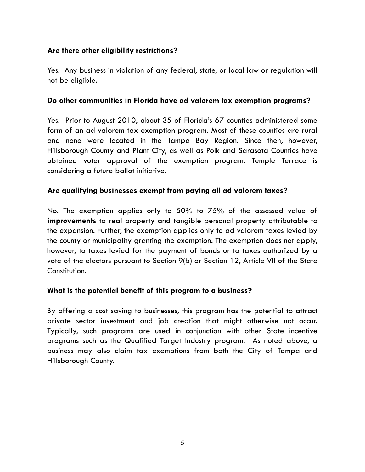# **Are there other eligibility restrictions?**

Yes. Any business in violation of any federal, state, or local law or regulation will not be eligible.

### **Do other communities in Florida have ad valorem tax exemption programs?**

Yes. Prior to August 2010, about 35 of Florida's 67 counties administered some form of an ad valorem tax exemption program. Most of these counties are rural and none were located in the Tampa Bay Region. Since then, however, Hillsborough County and Plant City, as well as Polk and Sarasota Counties have obtained voter approval of the exemption program. Temple Terrace is considering a future ballot initiative.

# **Are qualifying businesses exempt from paying all ad valorem taxes?**

No. The exemption applies only to 50% to 75% of the assessed value of **improvements** to real property and tangible personal property attributable to the expansion. Further, the exemption applies only to ad valorem taxes levied by the county or municipality granting the exemption. The exemption does not apply, however, to taxes levied for the payment of bonds or to taxes authorized by a vote of the electors pursuant to Section 9(b) or Section 12, Article VII of the State Constitution.

# **What is the potential benefit of this program to a business?**

By offering a cost saving to businesses, this program has the potential to attract private sector investment and job creation that might otherwise not occur. Typically, such programs are used in conjunction with other State incentive programs such as the Qualified Target Industry program. As noted above, a business may also claim tax exemptions from both the City of Tampa and Hillsborough County.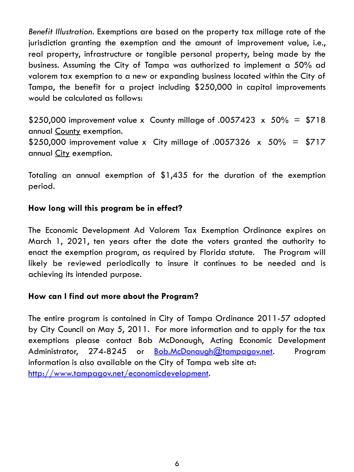*Benefit Illustration.* Exemptions are based on the property tax millage rate of the jurisdiction granting the exemption and the amount of improvement value, i.e., real property, infrastructure or tangible personal property, being made by the business. Assuming the City of Tampa was authorized to implement a 50% ad valorem tax exemption to a new or expanding business located within the City of Tampa, the benefit for a project including \$250,000 in capital improvements would be calculated as follows:

\$250,000 improvement value x County millage of .0057423  $\times$  50% = \$718 annual County exemption. \$250,000 improvement value x City millage of .0057326  $\times$  50% = \$717 annual City exemption.

Totaling an annual exemption of \$1,435 for the duration of the exemption period.

# **How long will this program be in effect?**

The Economic Development Ad Valorem Tax Exemption Ordinance expires on March 1, 2021, ten years after the date the voters granted the authority to enact the exemption program, as required by Florida statute. The Program will likely be reviewed periodically to insure it continues to be needed and is achieving its intended purpose.

# **How can I find out more about the Program?**

The entire program is contained in City of Tampa Ordinance 2011-57 adopted by City Council on May 5, 2011. For more information and to apply for the tax exemptions please contact Bob McDonaugh, Acting Economic Development Administrator, 274-8245 or [Bob.McDonaugh@tampagov.net](mailto:Bob.McDonaugh@tampagov.net). Program information is also available on the City of Tampa web site at: [http://www.tampagov.net/economicdevelopment](http://www.tampagov.net/dept_economic_and_urban_development).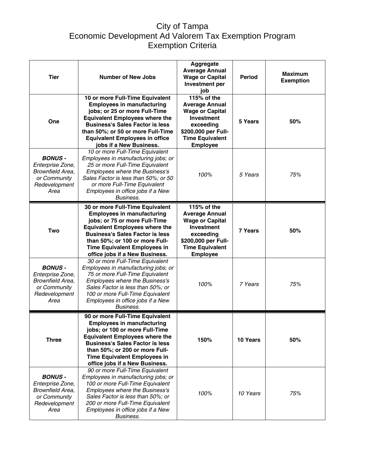# City of Tampa Economic Development Ad Valorem Tax Exemption Program Exemption Criteria

| <b>Tier</b>                                                                                    | <b>Number of New Jobs</b>                                                                                                                                                                                                                                                                           | Aggregate<br><b>Average Annual</b><br><b>Wage or Capital</b><br>Investment per<br>iob                                                                                | <b>Period</b> | <b>Maximum</b><br><b>Exemption</b> |
|------------------------------------------------------------------------------------------------|-----------------------------------------------------------------------------------------------------------------------------------------------------------------------------------------------------------------------------------------------------------------------------------------------------|----------------------------------------------------------------------------------------------------------------------------------------------------------------------|---------------|------------------------------------|
| One                                                                                            | 10 or more Full-Time Equivalent<br><b>Employees in manufacturing</b><br>jobs; or 25 or more Full-Time<br><b>Equivalent Employees where the</b><br><b>Business's Sales Factor is less</b><br>than 50%; or 50 or more Full-Time<br><b>Equivalent Employees in office</b><br>jobs if a New Business.   | 115% of the<br><b>Average Annual</b><br><b>Wage or Capital</b><br><b>Investment</b><br>exceeding<br>\$200,000 per Full-<br><b>Time Equivalent</b><br><b>Employee</b> | 5 Years       | 50%                                |
| <b>BONUS-</b><br>Enterprise Zone,<br>Brownfield Area,<br>or Community<br>Redevelopment<br>Area | 10 or more Full-Time Equivalent<br>Employees in manufacturing jobs; or<br>25 or more Full-Time Equivalent<br><b>Employees where the Business's</b><br>Sales Factor is less than 50%; or 50<br>or more Full-Time Equivalent<br>Employees in office jobs if a New<br>Business.                        | 100%                                                                                                                                                                 | 5 Years       | 75%                                |
| <b>Two</b>                                                                                     | 30 or more Full-Time Equivalent<br><b>Employees in manufacturing</b><br>jobs; or 75 or more Full-Time<br><b>Equivalent Employees where the</b><br><b>Business's Sales Factor is less</b><br>than 50%; or 100 or more Full-<br><b>Time Equivalent Employees in</b><br>office jobs if a New Business. | 115% of the<br><b>Average Annual</b><br><b>Wage or Capital</b><br><b>Investment</b><br>exceeding<br>\$200,000 per Full-<br><b>Time Equivalent</b><br><b>Employee</b> | 7 Years       | 50%                                |
| <b>BONUS-</b><br>Enterprise Zone,<br>Brownfield Area,<br>or Community<br>Redevelopment<br>Area | 30 or more Full-Time Equivalent<br>Employees in manufacturing jobs; or<br>75 or more Full-Time Equivalent<br><b>Employees where the Business's</b><br>Sales Factor is less than 50%; or<br>100 or more Full-Time Equivalent<br>Employees in office jobs if a New<br>Business.                       | 100%                                                                                                                                                                 | 7 Years       | 75%                                |
| <b>Three</b>                                                                                   | 90 or more Full-Time Equivalent<br><b>Employees in manufacturing</b><br>jobs; or 100 or more Full-Time<br><b>Equivalent Employees where the</b><br><b>Business's Sales Factor is less</b><br>than 50%; or 200 or more Full-<br>Time Equivalent Employees in<br>office jobs if a New Business.       | 150%                                                                                                                                                                 | 10 Years      | 50%                                |
| <b>BONUS-</b><br>Enterprise Zone,<br>Brownfield Area,<br>or Community<br>Redevelopment<br>Area | 90 or more Full-Time Equivalent<br>Employees in manufacturing jobs; or<br>100 or more Full-Time Equivalent<br><b>Employees where the Business's</b><br>Sales Factor is less than 50%; or<br>200 or more Full-Time Equivalent<br>Employees in office jobs if a New<br>Business.                      | 100%                                                                                                                                                                 | 10 Years      | 75%                                |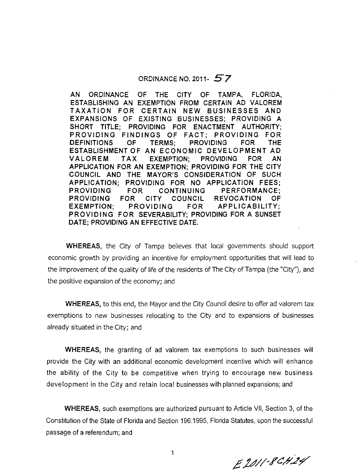### ORDINANCE NO. 2011 -  $57$

AN ORDINANCE OF THE ClTY OF TAMPA, FLORIDA, ESTABLISHING AN EXEMPTION FROM CERTAIN AD VALOREM TAXATION FOR CERTAIN NEW BUSINESSES AND EXPANSIONS OF EXISTING BUSINESSES; PROVIDING A SHORT TITLE; PROVIDING FOR ENACTMENT AUTHORITY; PROVlDlNG FINDINGS OF FACT; PROVIDING FOR DEFINITIONS OF TERMS; PROVIDING FOR THE ESTABLISHMENT OF AN ECONOMIC DEVELOPMENT AD VALOREM TAX EXEMPTION; PROVlDlNG FOR AN APPLICATION FOR AN EXEMPTION; PROVIDING FOR THE ClTY COUNCIL AND THE MAYOR'S CONSIDERATION OF SUCH APPLICATION; PROVIDING FOR NO APPLICATION FEES; PROVIDING FOR CONTINUING PERFORMANCE; PROVIDING FOR ClTY COUNCIL REVOCATION OF EXEMPTION; PROVIDING FOR APPLICABILITY; PROVIDING FOR SEVERABILITY; PROVIDING FOR A SUNSET DATE; PROVIDING AN EFFECTIVE DATE.

WHEREAS, the City of Tampa believes that local governments should support economic growth by providing an incentive for employment opportunities that will lead to the improvement of the quality of life of the residents of The City of Tampa (the "City"), and the positive expansion of the economy; and

WHEREAS, to this end, the Mayor and the City Council desire to offer ad valorem tax exemptions to new businesses relocating to the City and to expansions of businesses already situated in the City; and

WHEREAS, the granting of ad valorem tax exemptions to such businesses will provide the City with an additional economic development incentive which will enhance the ability of the City to be competitive when trying to encourage new business development in the City and retain local businesses with planned expansions; and

WHEREAS, such exemptions are authorized pursuant to Article VII, Section 3, of the Constitution of the State of Florida and Section 196.1995, Florida Statutes, upon the successful passage of a referendum; and

E2011-8CH24

 $\mathbf{1}$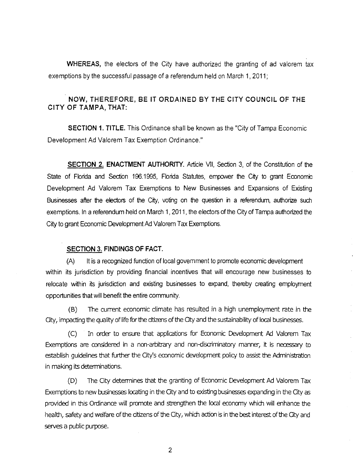**WHEREAS,** the electors of the City have authorized the granting of ad valorem tax exemptions by the successful passage of a referendum held on March 1, 2011;

### **NOW, THEREFORE, BE IT ORDAlNED BY THE ClTY COUNCIL OF THE ClTY OF TAMPA, THAT:**

**SECTION 1. TITLE.** This Ordinance shall be known as the "City of Tampa Economic Development Ad Valorem Tax Exemption Ordinance."

**SECTION 2. ENACTMENT AUTHORITY.** Article VII, Section 3, of the Constitution of the State of Florida and Section 196.1995, Florida Statutes, empower the City to grant Economic Development Ad Valorem Tax Exemptions to New Businesses and Expansions of Existing Businesses after the electors of the City, voting on the question in a referendum, authorize such exemptions. In a referendum held on March 1, 2011, the electors of the City of Tampa authorized the City to grant Economic Development Ad Valorem Tax Exemptions.

#### **SECTION 3. FINDINGS OF FACT.**

**(A)** It is a recognized function of local government to promote economic development within its jurisdiction by providing financial incentives that will encourage new businesses to relocate within its jurisdiction and existing businesses to expand, thereby creating employment opportunities that will benefit the entire community.

(8) The current economic climate has resulted in a high unemployment rate in the Gty, impacting the qualrty of life for the cib'zens of the Gty and the sustainability of local businesses.

(C) In order to ensure that applications for Economic Development **Ad** Valorem Tax Exemptions are considered in a non-arbitrary and non-discriminatory manner, it is necessary to establish guidelines that further the City's economic development policy to assist the Adminisbation in making its determinations.

(D) The City determines that the granting of Economic Development Ad Valorem Tax Exemptions to new businesses locating in the City and to existing businesses expanding in the City as provided in this Ordinance will promote and strengthen the local economy which will enhance the health, safety and wdfare of the atizens of the Gty, which action is in the best interest of the Gty and serves a public purpose.

 $\overline{2}$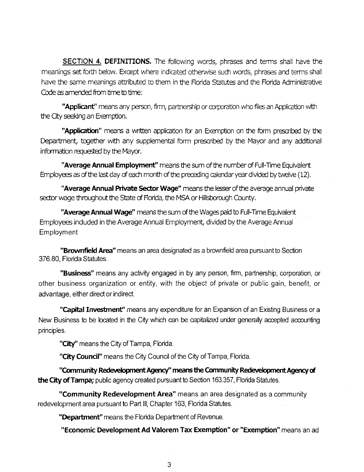SECTION **4. DEFINITIONS.** The following worrls, phrases and terms shall have the meanings set forth below. Except where indicated otherwise such words, phrases and terms shall have the same meanings attributed to them in the Florida Statutes and the Florida Administrative Code as amended from time to time:

**"Applicant"** means any person, firm, partnership or corporation who files an Application with the City seeking an Exemption.

"**Application**" means a written application for an Exemption on the form prescribed by the Department, together with any supplemental form prescribed by the Mayor and any additional information requested by the Mayor.

**"Average Annual Employment"** means the sum of the number of Full-Time Equivalent Employees as of the last day of each month of the preceding calendar year divided by twelve (12).

**"Average Annual Private Sector Wage"** means the lesser of the average annual private sector wage throughout the State of Florida, the MSA or Hillsborwgh County.

**"Average Annual Wage"** means the sum of the Wages paid to Full-Time Equivalent Employees induded in the Avemge Annual Employment, divided by the Avemge Annual Employment

**"Brownfield Area"** means an area designated as a brownfield area pursuant to Sedon 376.80, Florida Statutes.

**"Business"** means any activity engaged in by any person, firm, partnership, corporation, or other business organization or entity, with the object of private or public gain, benefit, or advantage, either direct or indirect.

**"Capital Investment"** means any expenditure for an Expansion of an Existing Business or a New Business to be located in the City which can be capitalized under generally accepted accounting principles.

**"City"** means the Crty of Tampa, Florida.

**"City Council"** means the City Council of the Clty of Tampa, Florida.

**"Community Rede~?loptnentAgency'~ means the Community Redevelopment** Agency& **the City of Tampa;** public agency created pursuant to Section 163.357, Florida Statutes.

**"Community Redevelopment Area"** means an area designated as a community redevelopment area pursuant to Part Ill, Chapter 163, Florida Statutes.

**"Department"** means the Florida Department of Revenue.

**"Economic Development Ad Valorem Tax Exemption" or "Exemption"** means an ad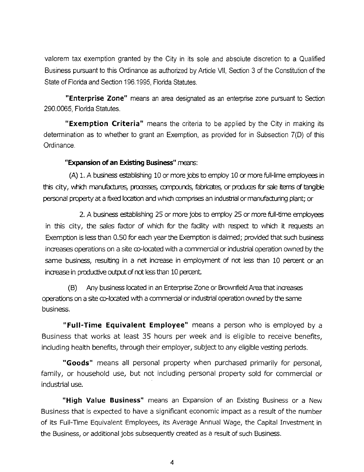valorem tax exemption granted by the City in its sole and absolute discretion to a Qualified Business pursuant to this Ordinance as authorized by Article VII, Section 3 of the Constitution of the State of Florida and Section 1 96.1995, Florida Statutes.

**"Enterprise Zone"** means an area designated as an enterprise zone pursuant to Section 290.0065, Florida Statutes.

**"Exemption Criteria"** means the criteria to be applied by the City in making its determination as to whether to grant an Exemption, as provided for in Subsection 7(D) of this Ordinance.

### **"Expansion of an Existing Business"** mears:

(A) 1. A business establishing 10 or more jobs to employ 10 or more full-lime employees in this city, which manufactures, processes, compounds, fabricates, or produces for sale items of tangible personal property at a fixed location and which amprises an indusbial or manuhcturing plant; or

2. A business establishing 25 or more jobs to employ 25 or more full-time employees in this city, the sales factor of which for the facility with respect to which it requests an Exemption is less than 0.50 for each year the Exemption is daimed; provided that such business increases operations on a site co-located with a commercial or industrial operation owned by the same business, resulting in a net increase in employment of not less than 10 percent or an increase in productive output of not less than 10 percent.

(8) Any business located in an Enterprise Zone or Brownfield **Area** that increases operations on a site  $\infty$ -located with a commercial or industrial operation owned by the same business.

**"Full-Time Equivalent Employee"** means a person who is employed by a Business that works at least 35 hours per week and is eligible to receive benefits, including health benefits, through their employer, subject to any eligible vesting periods.

**"Goods"** means all personal property when purchased primarily for personal, family, or household use, but not including personal property sold for commercial or industrial use.

**"High Value Business"** means an Expansion of an Existing Business or a New Business that is expected to have a significant economic impact as a result of the number of its Full-Time Equivalent Employees, its Average Annual Wage, the Capital Investment in the Business, or additional jobs subsequently created as a result of such Business.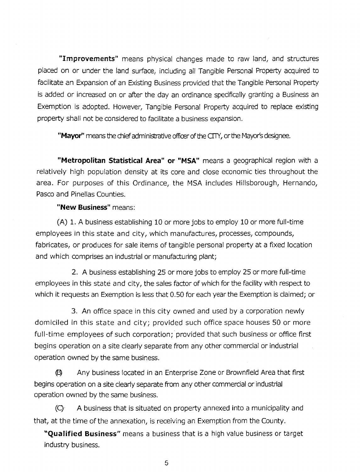**"Improvements"** means physical changes made to raw land, and structures placed on or under the land surface, including all Tangible Personal Property acquired to facilitate an Expansion of an Existing Business provided that the Tangible Personal Property is added or increased on or after the day an ordinance specifically granting a Business an Exemption is adopted. However, Tangible Personal Property acquired to replace existing property shall not be considered to facilitate a business expansion.

**"Mayor"** means the chief administrative officer of the CTP(, or the Mayor's designee.

**"Metropolitan Statistical Area" or "MSA"** means a geographical region with a relatively high population density at its core and close economic ties throughout the area. For purposes of this Ordinance, the MSA includes Hillsborough, Hernando, Pasco and Pinellas Counties.

### **"New Business"** means:

(A) 1. A business establishing 10 or more jobs to employ 10 or more full-time employees in this state and city, which manufactures, processes, compounds, fabricates, or produces for sale items of tangible personal property at a fixed location and which comprises an industrial or manufacturing plant;

2. A business establishing 25 or more jobs to employ 25 or more full-time employees in this state and city, the sales factor of which for the facility with respect to which it requests an Exemption is less that 0.50 for each year the Exemption is claimed; or

3. An office space in this city owned and used by a corporation newly domiciled in this state and city; provided such office space houses 50 or more full-time employees of such corporation; provided that such business or office first begins operation on a site clearly separate from any other commercial or industrial operation owned by the same business.

@ Any business located in an Enterprise Zone or Brownfield Area that first begins operation on a site clearly separate from any other commercial or industrial operation owned by the same business.

 $(C)$  A business that is situated on property annexed into a municipality and that, at the time of the annexation, is receiving an Exemption from the County.

**"Qualified Business"** means a business that is a high value business or target industry business.

5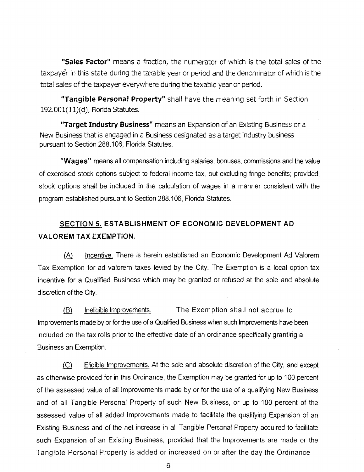**"Sales Factor"** means a fraction, the numerator of which is the total sales of the taxpayer in this state during the taxable year or period and the denominator of which is the total sales of the taxpayer everywhere during the taxable year or period.

**"Tangible Personal Property"** shall have the meaning set forth in Section 192.001(11)(d), Florida Statutes.

**"Target Industry Business"** means an Expansion of an Existing Business or a New Business that is engaged in a Business designated as a target industry business pursuant to Section 288.106, Florida Statutes.

**"Wages"** means all compensation including salaries, bonuses, commissions and the value of exercised stock options subject to federal income tax, but excluding fringe benefits; provided, stock options shall be included in the calculation of wages in a manner consistent with the program established pursuant to Section 288.106, Florida Statutes.

# SECTION **5.** ESTABLISHMENT OF ECONOMIC DEVELOPMENT AD VALOREM TAX EXEMPTION.

(A) Incentive. There is herein established an Economic Development Ad Valorem Tax Exemption for ad valorem taxes levied by the City. The Exemption is a local option tax incentive for a Qualified Business which may be granted or refused at the sole and absolute discretion of the City.

(B) Ineligible Improvements. The Exemption shall not accrue to Improvements made by or for the use of a Qualified Business when such lmprovements have been included on the tax rolls prior to the effective date of an ordinance specifically granting a Business an Exemption.

(C) Eligible Improvements. At the sole and absolute discretion of the City, and except as otherwise provided for in this Ordinance, the Exemption may be granted for up to 100 percent of the assessed value of all lmprovements made by or for the use of a qualifying New Business and of all Tangible Personal Property of such New Business, or up to 100 percent of the assessed value of all added lmprovements made to facilitate the qualifying Expansion of an Existing Business and of the net increase in all Tangible Personal Property acquired to facilitate such Expansion of an Existing Business, provided that the lmprovements are made or the Tangible Personal Property is added or increased on or after the day the Ordinance

6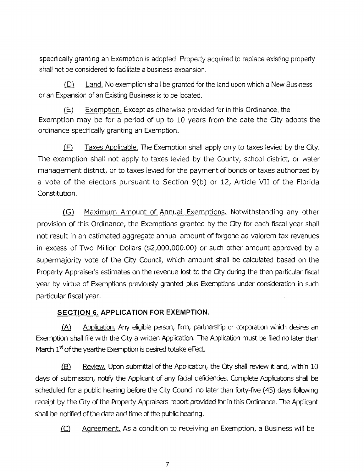specifically granting an Exemption is adopted. Property acquired to replace existing property shall not be considered to facilitate a business expansion.

(D) Land. No exemption shall be granted for the land upon which a New Business or an Expansion of an Existing Business is to be located.

(E) Exemption. Except as otherwise provided for in this Ordinance, the Exemption may be for a period of up to 10 years from the date the City adopts the ordinance specifically granting an Exemption.

(F) Taxes Applicable. The Exemption shall apply only to taxes levied by the City. The exemption shall not apply to taxes levied by the County, school district, or water management district, or to taxes levied for the payment of bonds or taxes authorized by a vote of the electors pursuant to Section 9(b) or 12, Article VII of the Florida Constitution.

(G) Maximum Amount of Annual Exemptions. Notwithstanding any other provision of this Ordinance, the Exemptions granted by the City for each fiscal year shall not result in an estimated aggregate annual amount of forgone ad valorem tax revenues in excess of Two Million Dollars (\$2,000,000.00) or such other amount approved by a supermajority vote of the City Council, which amount shall be calculated based on the Property Appraiser's estimates on the revenue lost to the City during the then particular fiscal year by virtue of Exemptions previously granted plus Exemptions under consideration in such particular fiscal year.

# **SECTION 6. APPLICATION FOR EXEMPTION.**

(A) Amlication. Any eligible person, firm, partnership or arporation which desires an Exemption shall file with the Gty a written Application. The Application must be filed no later than (A) Application. Any eligible person, firm, particle exemption shall file with the City a written Application. The<br>March 1<sup>st</sup> of the yearthe Exemption is desired totake effect.

(B) Review. Upon submittal of the Application, the City shall review it and, within 10 days of submission, notify the Applicant of any facial defidendes. Complete Applications shall be scheduled for a public hearing before the City Counal no later than forty-five (45) days following receipt by the Gty of the Property Appraisers report provided for in this Ordinance. The Applicant shall be notified of the date and time of the public hearing.

(C) Aqreement. As a condition to receiving an Exemption, a Business will be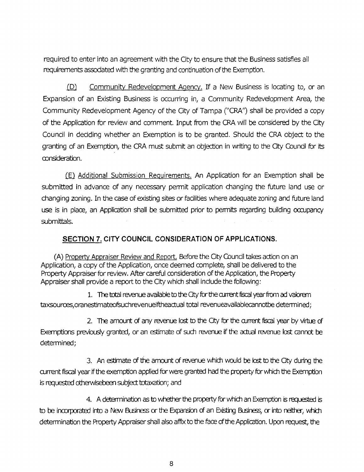required to enter into an agreement with the City to ensure that the Business satisfies all requirements associated with the granting and continuation of the Exemption.

(D) Community Redevelopment Agency. If a New Business is locating to, or an Expansion of an Existing Business is occurring in, a Community Redevelopment Area, the Community Redevelopment Agency of the City of Tampa ("CRA") shall be provided a copy of the Application for review and comment. Input from the CRA will be considered by the City Council in deciding whether an Exemption is to be granted. Should the CRA object to the granting of an Exemption, the CRA must submit an objection in writing to the City Council for its consideration.

(E) Additional Submission Requirements. An Application for an Exemption shall be submitted in advance of any necessary permit application changing the future land use or changing zoning. In the case of existing sites or facilities where adequate zoning and future land use is in place, an Application shall be submitted prior to permits regarding building occupancy submittals.

# **SECTION 7. CITY COUNCIL CONSIDERATION OF APPLICATIONS.**

(A) Property Appraiser Review and Report. Before the City Council takes action on an Application, a copy of the Application, once deemed complete, shall be delivered to the Property Appraiser for review. After careful consideration of the Application, the Property Appraiser shall provide a report to the City which shall include the following:

1. The total revenue available to the City for the current fiscal year from ad valorem taxsources,oranestimateofsuchrevenueiftheactual total revenueavailablecannotbe determined;

2. The amount of any revenue lost to the *Gty* for the current fiscal year by virtue of Exemptions previously granted, or an estimate of such revenue if the actual revenue lost cannot be determined:

3. An estimate of the amount of revenue which would be lost to the City during the current fiscal year if the exemption applied for were granted had the property for which the Exemption is requested otherwisebeen subject totaxation; and

4. A determination as to whether the property for which an Exemption is requested is to be incorporated into a New Business or the Expansion of an Existing Business, or into neither, which determination the Property Appraiser shall also affix to the face of the Application. Upon request, the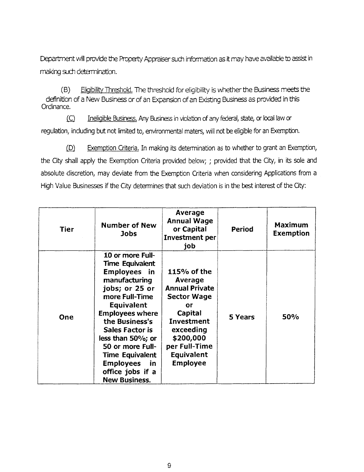Department will provide the Property Appraiser sudh information as it may have available to assist in making such determination.

(B) Eligibility Threshold. The threshold for eligibility is whether the Business meets the definition of a New Business or of an Expansion of an Existing Business as provided in this Ordinance.

 $(C)$  Ineligible Business. Any Business in violation of any federal, state, or local law or regulation, including but not limited to, environmental maters, will not be eligible for an Exemption.

(D) Exemption Criteria. In making its determination as to whether to grant an Exemption, the City shall apply the Exemption Criteria provided below; ; provided that the City, in its sole and absolute discretion, may deviate from the Exemption Criteria when considering Applications from a High Value Businesses if the City determines that such deviation is in the best interest of the City:

| Tier | <b>Number of New</b><br>Jobs                                                                                                                                                                                                                                                                                                                               | Average<br><b>Annual Wage</b><br>or Capital<br><b>Investment per</b><br>job                                                                                                             | Period  | <b>Maximum</b><br><b>Exemption</b> |
|------|------------------------------------------------------------------------------------------------------------------------------------------------------------------------------------------------------------------------------------------------------------------------------------------------------------------------------------------------------------|-----------------------------------------------------------------------------------------------------------------------------------------------------------------------------------------|---------|------------------------------------|
| One  | 10 or more Full-<br><b>Time Equivalent</b><br><b>Employees</b> in<br>manufacturing<br>jobs; or 25 or<br>more Full-Time<br><b>Equivalent</b><br><b>Employees where</b><br>the Business's<br><b>Sales Factor is</b><br>less than 50%; or<br>50 or more Full-<br><b>Time Equivalent</b><br><b>Employees</b><br>in<br>office jobs if a<br><b>New Business.</b> | 115% of the<br>Average<br><b>Annual Private</b><br><b>Sector Wage</b><br>or<br>Capital<br>Investment<br>exceeding<br>\$200,000<br>per Full-Time<br><b>Equivalent</b><br><b>Employee</b> | 5 Years | <b>50%</b>                         |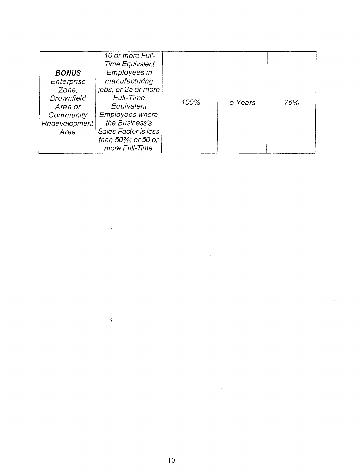| <b>BONUS</b><br>Enterprise                                                  | 10 or more Full-<br><b>Time Equivalent</b><br><b>Employees in</b><br>manufacturing                                                                         |      |         |     |
|-----------------------------------------------------------------------------|------------------------------------------------------------------------------------------------------------------------------------------------------------|------|---------|-----|
| Zone,<br><b>Brownfield</b><br>Area or<br>Community<br>Redevelopment<br>Area | jobs; or 25 or more<br>Full-Time<br>Equivalent<br><b>Employees where</b><br>the Business's<br>Sales Factor is less<br>than 50%; or 50 or<br>more Full-Time | 100% | 5 Years | 75% |

 $\ddot{\ast}$ 

 $\ddot{\bullet}$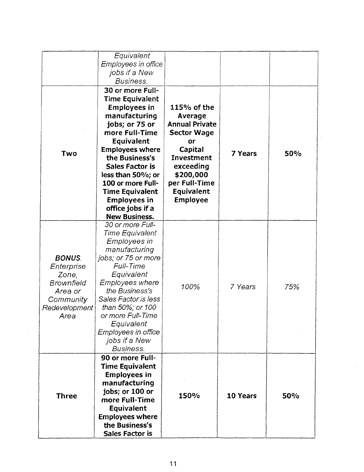|                                                                                                           | Equivalent<br>Employees in office<br>jobs if a New<br>Business.                                                                                                                                                                                                                                                                                   |                                                                                                                                                                                                         |                |            |
|-----------------------------------------------------------------------------------------------------------|---------------------------------------------------------------------------------------------------------------------------------------------------------------------------------------------------------------------------------------------------------------------------------------------------------------------------------------------------|---------------------------------------------------------------------------------------------------------------------------------------------------------------------------------------------------------|----------------|------------|
| Two                                                                                                       | 30 or more Full-<br><b>Time Equivalent</b><br><b>Employees in</b><br>manufacturing<br>jobs; or 75 or<br>more Full-Time<br>Equivalent<br><b>Employees where</b><br>the Business's<br><b>Sales Factor is</b><br>less than 50%; or<br>100 or more Full-<br><b>Time Equivalent</b><br><b>Employees in</b><br>office jobs if a<br><b>New Business.</b> | $115%$ of the<br><b>Average</b><br><b>Annual Private</b><br><b>Sector Wage</b><br>or<br><b>Capital</b><br>Investment<br>exceeding<br>\$200,000<br>per Full-Time<br><b>Equivalent</b><br><b>Employee</b> | <b>7 Years</b> | <b>50%</b> |
| <b>BONUS</b><br>Enterprise<br>Zone,<br><b>Brownfield</b><br>Area or<br>Community<br>Redevelopment<br>Area | 30 or more Full-<br>Time Equivalent<br>Employees in<br>manufacturing<br>jobs; or 75 or more<br>Full-Time<br>Equivalent<br>Employees where<br>the Business's<br>Sales Factor is less<br>than 50%; or 100<br>or more Full-Time<br>Equivalent<br>Employees in office<br>jobs if a New<br><b>Business.</b>                                            | 100%                                                                                                                                                                                                    | 7 Years        | 75%        |
| <b>Three</b>                                                                                              | 90 or more Full-<br><b>Time Equivalent</b><br><b>Employees in</b><br>manufacturing<br>jobs; or 100 or<br>more Full-Time<br>Equivalent<br><b>Employees where</b><br>the Business's<br><b>Sales Factor is</b>                                                                                                                                       | 150%                                                                                                                                                                                                    | 10 Years       | 50%        |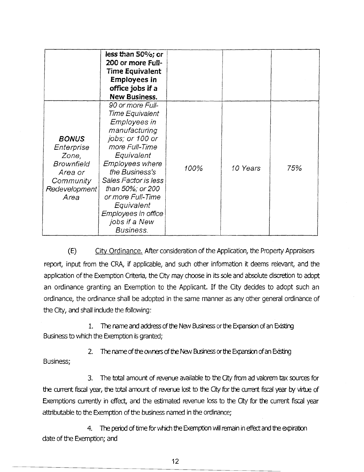|                                                                                                           | less than 50%; or<br>200 or more Full-<br><b>Time Equivalent</b><br><b>Employees in</b><br>office jobs if a<br><b>New Business.</b>                                                                                                                                                                            |      |          |     |
|-----------------------------------------------------------------------------------------------------------|----------------------------------------------------------------------------------------------------------------------------------------------------------------------------------------------------------------------------------------------------------------------------------------------------------------|------|----------|-----|
| <b>BONUS</b><br>Enterprise<br>Zone,<br><b>Brownfield</b><br>Area or<br>Community<br>Redevelopment<br>Area | 90 or more Full-<br>Time Equivalent<br><b>Employees in</b><br>manufacturing<br>jobs; or 100 or<br>more Full-Time<br>Equivalent<br>Employees where<br>the Business's<br>Sales Factor is less<br>than 50%; or 200<br>or more Full-Time<br>Equivalent<br>Employees in office<br>jobs if a New<br><b>Business.</b> | 100% | 10 Years | 75% |

(E) Citv Ordinance. After consideration of the Application, the Property Appraisers report, input from the CRA, if applicable, and such other information it deems relevant, and the application of the Exemption Criteria, the City may choose in its sole and absolute discretion to adopt an ordinance granting an Exemption to the Applicant. If the City decides to adopt such an ordinance, the ordinance shall be adopted in the same manner as any other general ordinance of the City, and shall include the following:

1. The name and address of the New Business or the Expansion of an Existing Business to which the Exemption is granted;

2. The name of the owners of the New Business or the Expansion of an Existing **Business:** 

3. The total amount of revenue available to *the* Ci from ad valorem tax sources for the current fiscal year, the total amount of revenue lost to the City for the current fiscal year by virtue of Exemptions currently in effect, and the estimated revenue loss to the City for the current fiscal year attributable to the Exemption of the business named in the ordinance;

4. The period of time for which the Exemption will remain in effect and the expiration date of the Exemption; and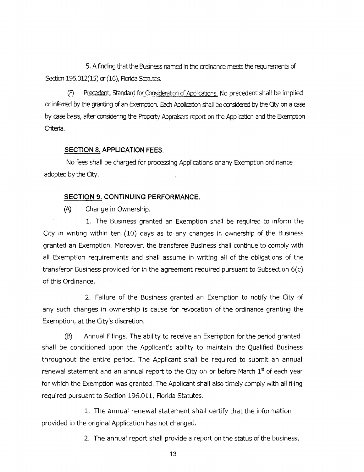5. A finding that the Business named in the crdinance meets the requirements of Sedicn 196.012(15) or (16), Florida Statutes.

Precedent; Standard for Consideration of Applications. No precedent shall be implied (F) or inferred by the granting of an Exemption. Each Application shall be considered by the City on a case by case basis, after considering the Property Appraisers report on the Application and the Exemption Criteria.

#### **SECTION 8. APPLICATION FEES.**

No fees shall be charged for processing Applications or any Exemption ordinance adopted by the Gty.

#### **SECTION 9. CONTINUING PERFORMANCE.**

(A) Change in Ownership.

1. The Business granted an Exemption shall be required to inform the City in writing within ten (10) days as to any changes in ownership of the Business granted an Exemption. Moreover, the transferee Business shall continue to comply with all Exemption requirements and shall assume in writing all of the obligations of the transferor Business provided for in the agreement required pursuant to Subsection 6(c) of this Ordinance.

2. Failure of the Business granted an Exemption to notify the City of any such changes in ownership is cause for revocation of the ordinance granting the Exemption, at the City's discretion.

**(B)** Annual Filings. The ability to receive an Exemption for the period granted shall be conditioned upon the Applicant's ability to maintain the Qualified Business throughout the entire period. The Applicant shall be required to submit an annual renewal statement and an annual report to the City on or before March  $1<sup>st</sup>$  of each year for which the Exemption was granted. The Applicant shall also timely comply with all filing required pursuant to Section 196.011, Florida Statutes.

1. The annual renewal statement shall certify that the information provided in the original Application has not changed.

2. The annual report shall provide a report on the status of the business,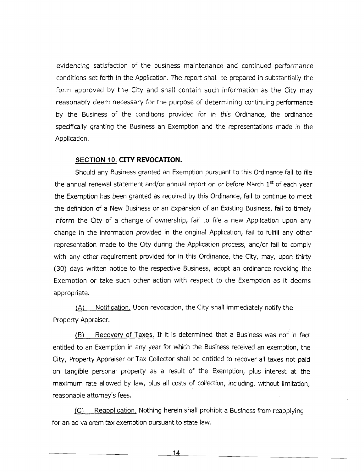evidencing satisfaction of the business maintenance and continued performance conditions set forth in the Application. The report shall be prepared in substantially the form approved by the City and shall contain such information as the City may reasonably deem necessary for the purpose of determining continuing performance by the Business of the conditions provided for in this Ordinance, the ordinance specifically granting the Business an Exemption and the representations made in the Application.

#### **SECTION 10. CITY REVOCATION.**

Should any Business granted an Exemption pursuant to this Ordinance fail to file the annual renewal statement and/or annual report on or before March 1<sup>st</sup> of each year the Exemption has been granted as required by this Ordinance, fail to continue to meet the definition of a New Business or an Expansion of an Existing Business, fail to timely inform the City of a change of ownership, fail to file a new Application upon any change in the information provided in the original Application, fail to fulfill any other representation made to the City during the Application process, and/or fail to comply with any other requirement provided for in this Ordinance, the City, may, upon thirty (30) days written notice to the respective Business, adopt an ordinance revoking the Exemption or take such other action with respect to the Exemption as it deems appropriate.

/A) Notification. Upon revocation, the City shall immediately notify the Property Appraiser.

**[B)** Recoverv of Taxes. If it is determined that a Business was not in fact entitled to an Exemption in any year for which the Business received an exemption, the City, Property Appraiser or Tax Collector shall be entitled to recover all taxes not paid on tangible personal property as a result of the Exemption, plus interest at the maximum rate allowed by law, plus all costs of collection, including, without limitation, reasonable attorney's fees.

/C) Reapplication. Nothing herein shall prohibit a Business from reapplying for an ad valorem tax exemption pursuant to state law.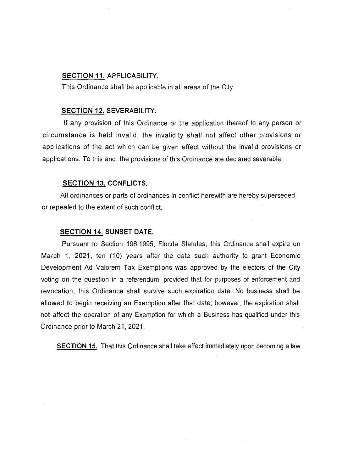#### SECTION 11. APPLICABILITY.

This Ordinance shall be applicable in all areas of the City.

#### SECTION **12.** SEVERABILITY.

If any provision of this Ordinance or the application thereof to any person or circumstance is held invalid, the invalidity shall not affect other provisions or applications of the act which can be given effect without the invalid provisions or applications. To this end, the provisions of this Ordinance are declared severable.

#### SECTION 13. CONFLICTS.

All ordinances or parts of ordinances in conflict herewith are hereby superseded or repealed to the extent of such conflict.

#### SECTION **14.** SUNSET DATE.

Pursuant to Section 196.1995, Florida Statutes, this Ordinance shall expire on March 1, 2021, ten (10) years after the date such authority to grant Economic Development Ad Valorem Tax Exemptions was approved by the electors of the City voting on the question in a referendum; provided that for purposes of enforcement and revocation, this Ordinance shall survive such expiration date. No business shall be allowed to begin receiving an Exemption after that date; however, the expiration shall not affect the operation of any Exemption for which a Business has qualified under this Ordinance prior to March 21, 2021.

SECTION **15.** That this Ordinance shall take effect immediately upon becoming a law.